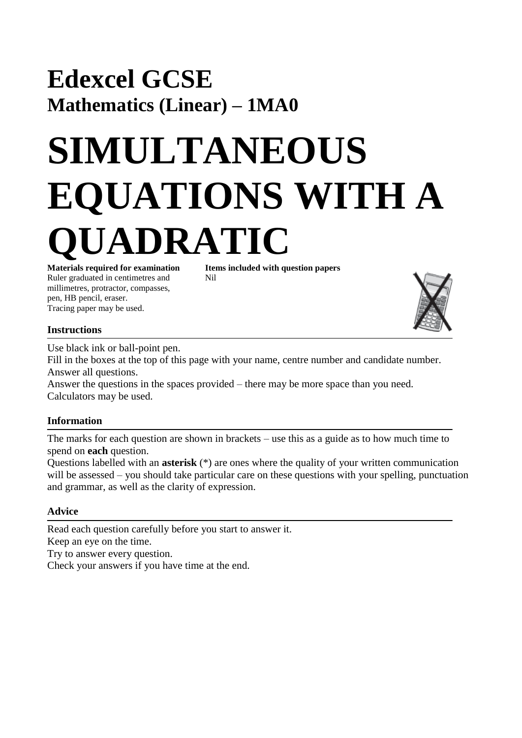## **Edexcel GCSE Mathematics (Linear) – 1MA0**

# **SIMULTANEOUS EQUATIONS WITH A UADRATIC**

Ruler graduated in centimetres and Nil millimetres, protractor, compasses, pen, HB pencil, eraser. Tracing paper may be used.

**Materials required for examination Items included with question papers**



#### **Instructions**

Use black ink or ball-point pen.

Fill in the boxes at the top of this page with your name, centre number and candidate number. Answer all questions.

Answer the questions in the spaces provided – there may be more space than you need. Calculators may be used.

#### **Information**

The marks for each question are shown in brackets – use this as a guide as to how much time to spend on **each** question.

Questions labelled with an **asterisk** (\*) are ones where the quality of your written communication will be assessed – you should take particular care on these questions with your spelling, punctuation and grammar, as well as the clarity of expression.

#### **Advice**

Read each question carefully before you start to answer it. Keep an eye on the time. Try to answer every question. Check your answers if you have time at the end.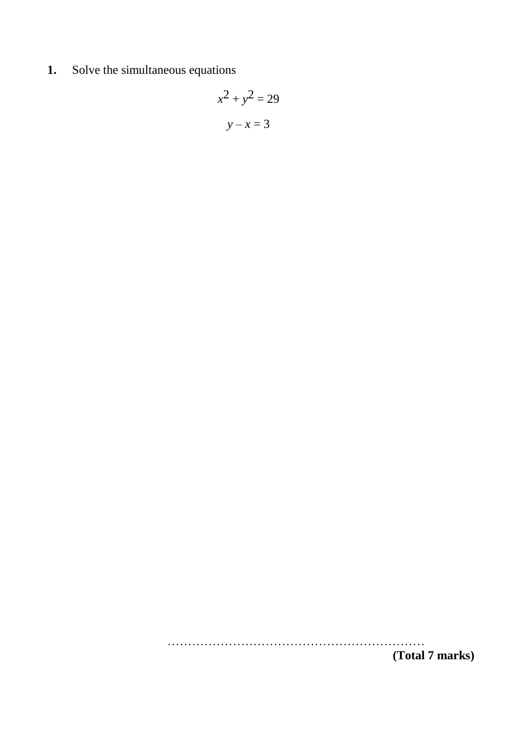**1.** Solve the simultaneous equations

$$
x^2 + y^2 = 29
$$

$$
y - x = 3
$$

………………………………………………………

**(Total 7 marks)**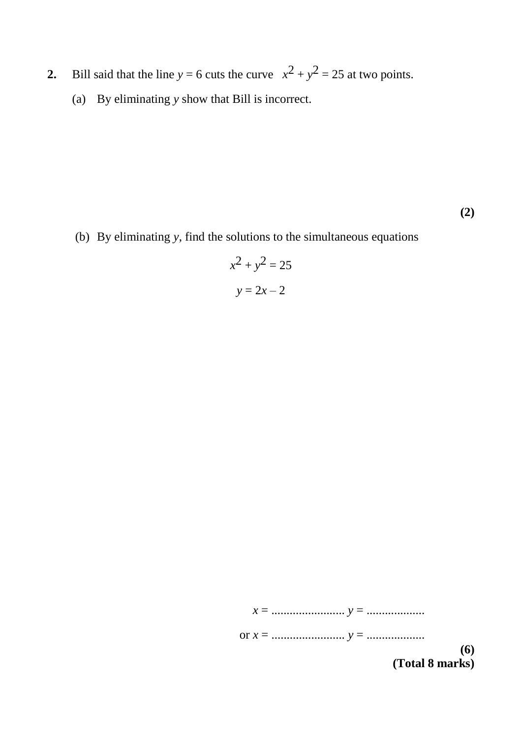- **2.** Bill said that the line  $y = 6$  cuts the curve  $x^2 + y^2 = 25$  at two points.
	- (a) By eliminating *y* show that Bill is incorrect.

**(2)**

### (b) By eliminating *y*, find the solutions to the simultaneous equations

$$
x^2 + y^2 = 25
$$

$$
y = 2x - 2
$$

*x* = ........................ *y* = ................... or *x* = ........................ *y* = ................... **(6) (Total 8 marks)**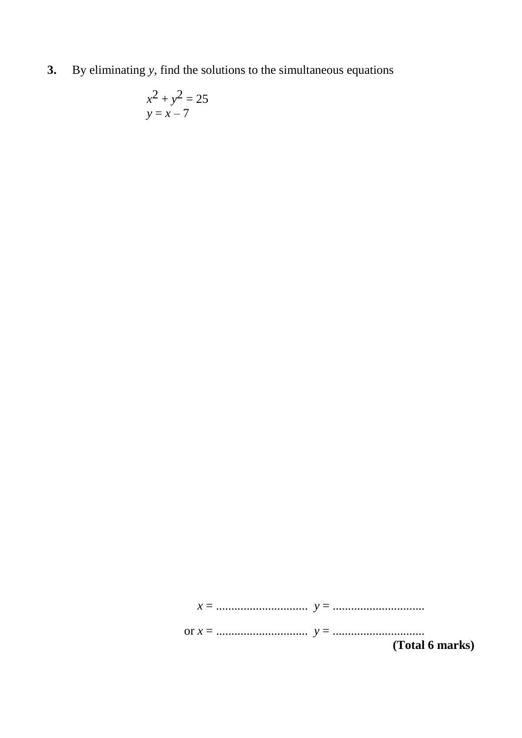**3.** By eliminating *y*, find the solutions to the simultaneous equations

$$
x^2 + y^2 = 25
$$

$$
y = x - 7
$$

|  | (Total 6 marks) |
|--|-----------------|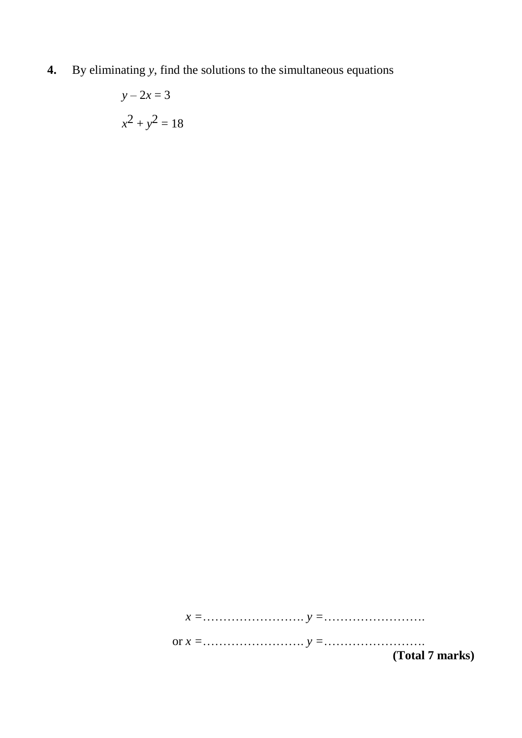**4.** By eliminating *y*, find the solutions to the simultaneous equations

$$
y - 2x = 3
$$

$$
x^2 + y^2 = 18
$$

*x =*……………………. *y =*……………………. or *x =*……………………. *y =*……………………. **(Total 7 marks)**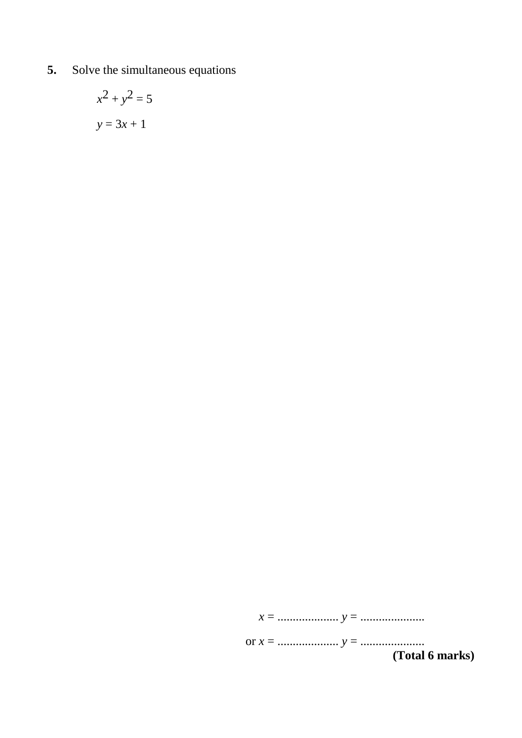Solve the simultaneous equations 5.

$$
x^2 + y^2 = 5
$$

$$
y = 3x + 1
$$

(Total 6 marks)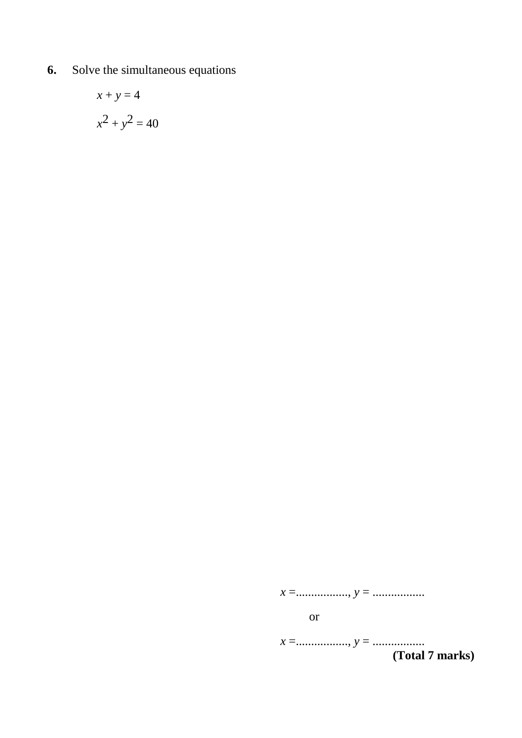Solve the simultaneous equations 6.

$$
x + y = 4
$$

$$
x^2 + y^2 = 40
$$

 $\overline{\text{or}}$